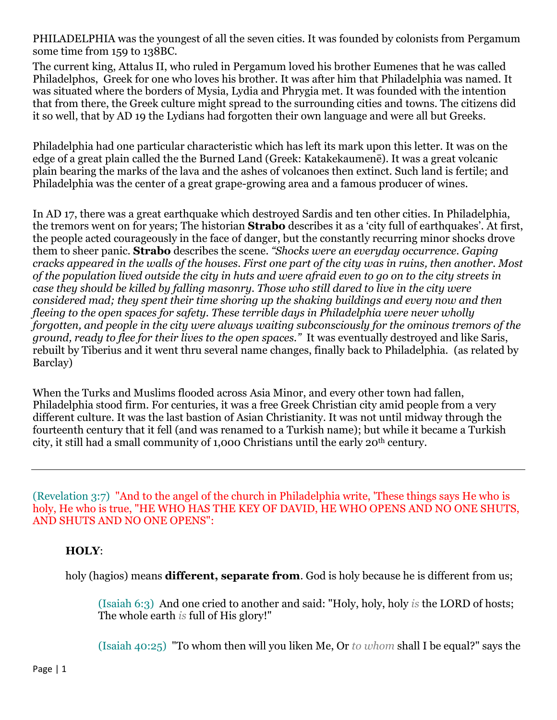PHILADELPHIA was the youngest of all the seven cities. It was founded by colonists from Pergamum some time from 159 to 138BC.

The current king, Attalus II, who ruled in Pergamum loved his brother Eumenes that he was called Philadelphos, Greek for one who loves his brother. It was after him that Philadelphia was named. It was situated where the borders of Mysia, Lydia and Phrygia met. It was founded with the intention that from there, the Greek culture might spread to the surrounding cities and towns. The citizens did it so well, that by AD 19 the Lydians had forgotten their own language and were all but Greeks.

Philadelphia had one particular characteristic which has left its mark upon this letter. It was on the edge of a great plain called the the Burned Land (Greek: Katakekaumenē). It was a great volcanic plain bearing the marks of the lava and the ashes of volcanoes then extinct. Such land is fertile; and Philadelphia was the center of a great grape-growing area and a famous producer of wines.

In AD 17, there was a great earthquake which destroyed Sardis and ten other cities. In Philadelphia, the tremors went on for years; The historian **Strabo** describes it as a 'city full of earthquakes'. At first, the people acted courageously in the face of danger, but the constantly recurring minor shocks drove them to sheer panic. **Strabo** describes the scene*. "Shocks were an everyday occurrence. Gaping cracks appeared in the walls of the houses. First one part of the city was in ruins, then another. Most of the population lived outside the city in huts and were afraid even to go on to the city streets in case they should be killed by falling masonry. Those who still dared to live in the city were considered mad; they spent their time shoring up the shaking buildings and every now and then fleeing to the open spaces for safety. These terrible days in Philadelphia were never wholly forgotten, and people in the city were always waiting subconsciously for the ominous tremors of the ground, ready to flee for their lives to the open spaces."* It was eventually destroyed and like Saris, rebuilt by Tiberius and it went thru several name changes, finally back to Philadelphia. (as related by Barclay)

When the Turks and Muslims flooded across Asia Minor, and every other town had fallen, Philadelphia stood firm. For centuries, it was a free Greek Christian city amid people from a very different culture. It was the last bastion of Asian Christianity. It was not until midway through the fourteenth century that it fell (and was renamed to a Turkish name); but while it became a Turkish city, it still had a small community of 1,000 Christians until the early 20th century.

(Revelation 3:7) "And to the angel of the church in Philadelphia write, 'These things says He who is holy, He who is true, "HE WHO HAS THE KEY OF DAVID, HE WHO OPENS AND NO ONE SHUTS, AND SHUTS AND NO ONE OPENS":

## **HOLY**:

holy (hagios) means **different, separate from**. God is holy because he is different from us;

(Isaiah 6:3) And one cried to another and said: "Holy, holy, holy *is* the LORD of hosts; The whole earth *is* full of His glory!"

(Isaiah 40:25) "To whom then will you liken Me, Or *to whom* shall I be equal?" says the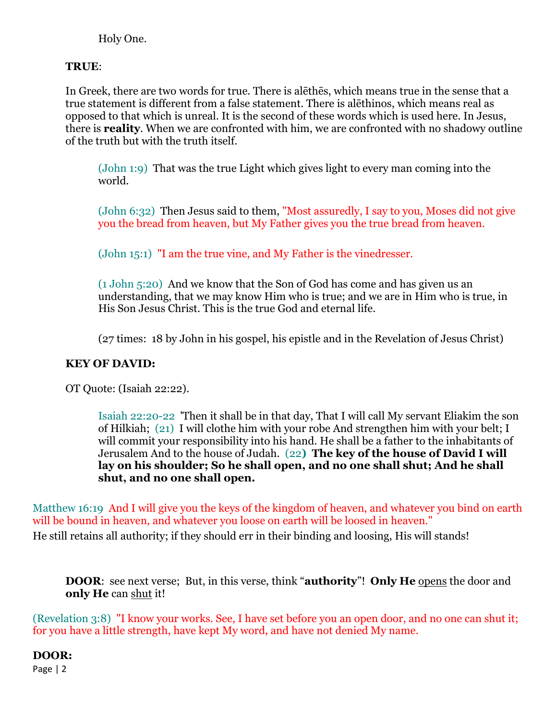Holy One.

### **TRUE**:

In Greek, there are two words for true. There is alēthēs, which means true in the sense that a true statement is different from a false statement. There is alēthinos, which means real as opposed to that which is unreal. It is the second of these words which is used here. In Jesus, there is **reality**. When we are confronted with him, we are confronted with no shadowy outline of the truth but with the truth itself.

(John 1:9) That was the true Light which gives light to every man coming into the world.

(John 6:32) Then Jesus said to them, "Most assuredly, I say to you, Moses did not give you the bread from heaven, but My Father gives you the true bread from heaven.

(John 15:1) "I am the true vine, and My Father is the vinedresser.

(1 John 5:20) And we know that the Son of God has come and has given us an understanding, that we may know Him who is true; and we are in Him who is true, in His Son Jesus Christ. This is the true God and eternal life.

(27 times: 18 by John in his gospel, his epistle and in the Revelation of Jesus Christ)

## **KEY OF DAVID:**

OT Quote: (Isaiah 22:22).

Isaiah 22:20-22 'Then it shall be in that day, That I will call My servant Eliakim the son of Hilkiah; (21) I will clothe him with your robe And strengthen him with your belt; I will commit your responsibility into his hand. He shall be a father to the inhabitants of Jerusalem And to the house of Judah. (22**) The key of the house of David I will lay on his shoulder; So he shall open, and no one shall shut; And he shall shut, and no one shall open.**

Matthew 16:19 And I will give you the keys of the kingdom of heaven, and whatever you bind on earth will be bound in heaven, and whatever you loose on earth will be loosed in heaven." He still retains all authority; if they should err in their binding and loosing, His will stands!

**DOOR**: see next verse; But, in this verse, think "**authority**"! **Only He** opens the door and **only He** can shut it!

(Revelation 3:8) "I know your works. See, I have set before you an open door, and no one can shut it; for you have a little strength, have kept My word, and have not denied My name.

# **DOOR:**

Page | 2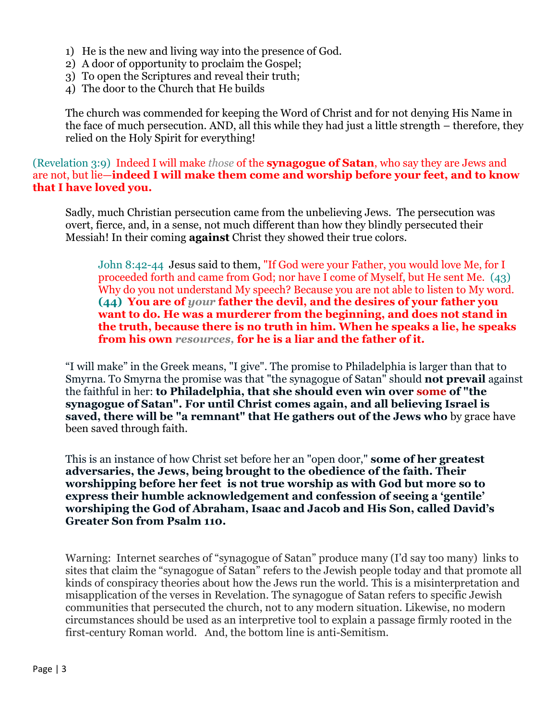- 1) He is the new and living way into the presence of God.
- 2) A door of opportunity to proclaim the Gospel;
- 3) To open the Scriptures and reveal their truth;
- 4) The door to the Church that He builds

The church was commended for keeping the Word of Christ and for not denying His Name in the face of much persecution. AND, all this while they had just a little strength – therefore, they relied on the Holy Spirit for everything!

(Revelation 3:9) Indeed I will make *those* of the **synagogue of Satan**, who say they are Jews and are not, but lie—**indeed I will make them come and worship before your feet, and to know that I have loved you.**

Sadly, much Christian persecution came from the unbelieving Jews. The persecution was overt, fierce, and, in a sense, not much different than how they blindly persecuted their Messiah! In their coming **against** Christ they showed their true colors.

John 8:42-44 Jesus said to them, "If God were your Father, you would love Me, for I proceeded forth and came from God; nor have I come of Myself, but He sent Me. (43) Why do you not understand My speech? Because you are not able to listen to My word. **(44) You are of** *your* **father the devil, and the desires of your father you want to do. He was a murderer from the beginning, and does not stand in the truth, because there is no truth in him. When he speaks a lie, he speaks from his own** *resources,* **for he is a liar and the father of it.**

"I will make" in the Greek means, "I give". The promise to Philadelphia is larger than that to Smyrna. To Smyrna the promise was that "the synagogue of Satan" should **not prevail** against the faithful in her: **to Philadelphia, that she should even win over some of "the synagogue of Satan". For until Christ comes again, and all believing Israel is saved, there will be "a remnant" that He gathers out of the Jews who** by grace have been saved through faith.

This is an instance of how Christ set before her an "open door," **some of her greatest adversaries, the Jews, being brought to the obedience of the faith. Their worshipping before her feet is not true worship as with God but more so to express their humble acknowledgement and confession of seeing a 'gentile' worshiping the God of Abraham, Isaac and Jacob and His Son, called David's Greater Son from Psalm 110.**

Warning: Internet searches of "synagogue of Satan" produce many (I'd say too many) links to sites that claim the "synagogue of Satan" refers to the Jewish people today and that promote all kinds of conspiracy theories about how the Jews run the world. This is a misinterpretation and misapplication of the verses in Revelation. The synagogue of Satan refers to specific Jewish communities that persecuted the church, not to any modern situation. Likewise, no modern circumstances should be used as an interpretive tool to explain a passage firmly rooted in the first-century Roman world. And, the bottom line is anti-Semitism.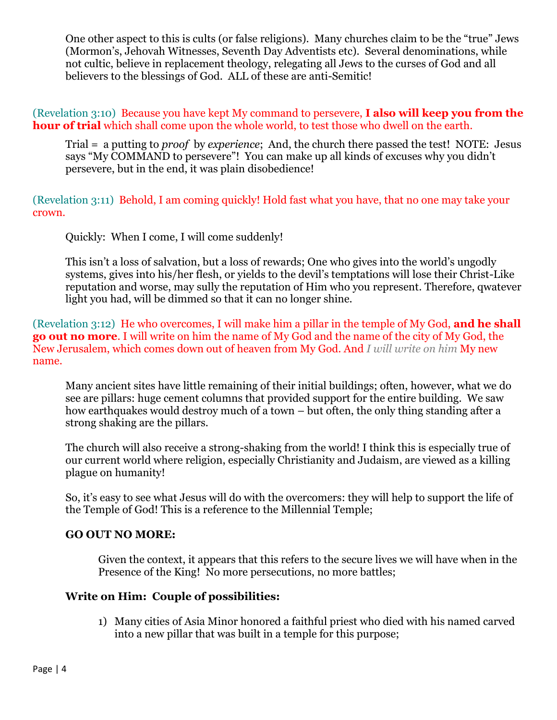One other aspect to this is cults (or false religions). Many churches claim to be the "true" Jews (Mormon's, Jehovah Witnesses, Seventh Day Adventists etc). Several denominations, while not cultic, believe in replacement theology, relegating all Jews to the curses of God and all believers to the blessings of God. ALL of these are anti-Semitic!

(Revelation 3:10) Because you have kept My command to persevere, **I also will keep you from the hour of trial** which shall come upon the whole world, to test those who dwell on the earth.

Trial = a putting to *proof* by *experience*; And, the church there passed the test! NOTE: Jesus says "My COMMAND to persevere"! You can make up all kinds of excuses why you didn't persevere, but in the end, it was plain disobedience!

(Revelation 3:11) Behold, I am coming quickly! Hold fast what you have, that no one may take your crown.

Quickly: When I come, I will come suddenly!

This isn't a loss of salvation, but a loss of rewards; One who gives into the world's ungodly systems, gives into his/her flesh, or yields to the devil's temptations will lose their Christ-Like reputation and worse, may sully the reputation of Him who you represent. Therefore, qwatever light you had, will be dimmed so that it can no longer shine.

(Revelation 3:12) He who overcomes, I will make him a pillar in the temple of My God, **and he shall go out no more**. I will write on him the name of My God and the name of the city of My God, the New Jerusalem, which comes down out of heaven from My God. And *I will write on him* My new name.

Many ancient sites have little remaining of their initial buildings; often, however, what we do see are pillars: huge cement columns that provided support for the entire building. We saw how earthquakes would destroy much of a town – but often, the only thing standing after a strong shaking are the pillars.

The church will also receive a strong-shaking from the world! I think this is especially true of our current world where religion, especially Christianity and Judaism, are viewed as a killing plague on humanity!

So, it's easy to see what Jesus will do with the overcomers: they will help to support the life of the Temple of God! This is a reference to the Millennial Temple;

## **GO OUT NO MORE:**

Given the context, it appears that this refers to the secure lives we will have when in the Presence of the King! No more persecutions, no more battles;

#### **Write on Him: Couple of possibilities:**

1) Many cities of Asia Minor honored a faithful priest who died with his named carved into a new pillar that was built in a temple for this purpose;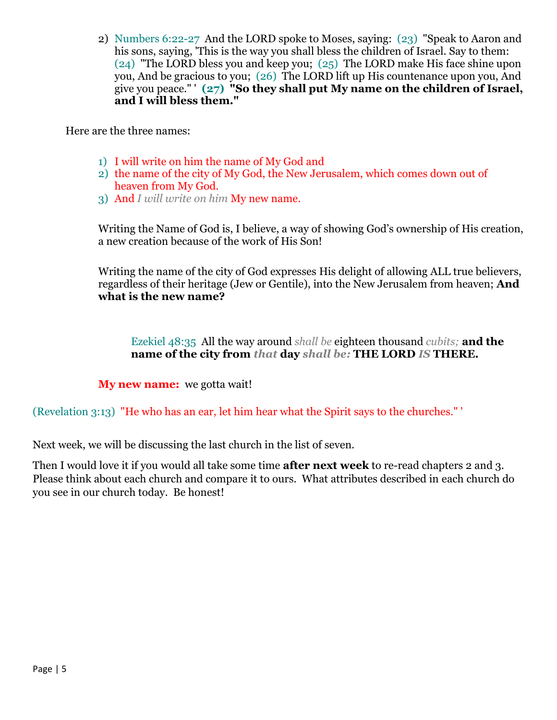2) Numbers 6:22-27 And the LORD spoke to Moses, saying: (23) "Speak to Aaron and his sons, saying, 'This is the way you shall bless the children of Israel. Say to them: (24) "The LORD bless you and keep you; (25) The LORD make His face shine upon you, And be gracious to you; (26) The LORD lift up His countenance upon you, And give you peace." ' **(27) "So they shall put My name on the children of Israel, and I will bless them."**

Here are the three names:

- 1) I will write on him the name of My God and
- 2) the name of the city of My God, the New Jerusalem, which comes down out of heaven from My God.
- 3) And *I will write on him* My new name.

Writing the Name of God is, I believe, a way of showing God's ownership of His creation, a new creation because of the work of His Son!

Writing the name of the city of God expresses His delight of allowing ALL true believers, regardless of their heritage (Jew or Gentile), into the New Jerusalem from heaven; **And what is the new name?**

Ezekiel 48:35 All the way around *shall be* eighteen thousand *cubits;* **and the name of the city from** *that* **day** *shall be:* **THE LORD** *IS* **THERE.**

**My new name:** we gotta wait!

(Revelation 3:13) "He who has an ear, let him hear what the Spirit says to the churches." '

Next week, we will be discussing the last church in the list of seven.

Then I would love it if you would all take some time **after next week** to re-read chapters 2 and 3. Please think about each church and compare it to ours. What attributes described in each church do you see in our church today. Be honest!